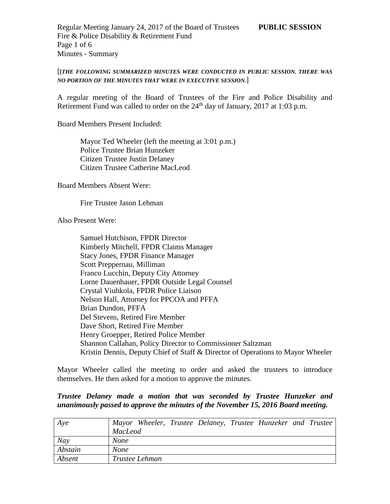### [**[***THE FOLLOWING SUMMARIZED MINUTES WERE CONDUCTED IN PUBLIC SESSION. THERE WAS NO PORTION OF THE MINUTES THAT WERE IN EXECUTIVE SESSION.*]

A regular meeting of the Board of Trustees of the Fire and Police Disability and Retirement Fund was called to order on the  $24<sup>th</sup>$  day of January, 2017 at 1:03 p.m.

Board Members Present Included:

Mayor Ted Wheeler (left the meeting at 3:01 p.m.) Police Trustee Brian Hunzeker Citizen Trustee Justin Delaney Citizen Trustee Catherine MacLeod

Board Members Absent Were:

Fire Trustee Jason Lehman

Also Present Were:

Samuel Hutchison, FPDR Director Kimberly Mitchell, FPDR Claims Manager Stacy Jones, FPDR Finance Manager Scott Preppernau, Milliman Franco Lucchin, Deputy City Attorney Lorne Dauenhauer, FPDR Outside Legal Counsel Crystal Viuhkola, FPDR Police Liaison Nelson Hall, Attorney for PPCOA and PFFA Brian Dundon, PFFA Del Stevens, Retired Fire Member Dave Short, Retired Fire Member Henry Groepper, Retired Police Member Shannon Callahan, Policy Director to Commissioner Saltzman Kristin Dennis, Deputy Chief of Staff & Director of Operations to Mayor Wheeler

Mayor Wheeler called the meeting to order and asked the trustees to introduce themselves. He then asked for a motion to approve the minutes.

#### *Trustee Delaney made a motion that was seconded by Trustee Hunzeker and unanimously passed to approve the minutes of the November 15, 2016 Board meeting.*

| Aye     | Mayor Wheeler, Trustee Delaney, Trustee Hunzeker and Trustee |
|---------|--------------------------------------------------------------|
|         | <b>MacLeod</b>                                               |
| Nay     | <b>None</b>                                                  |
| Abstain | <b>None</b>                                                  |
| Absent  | Trustee Lehman                                               |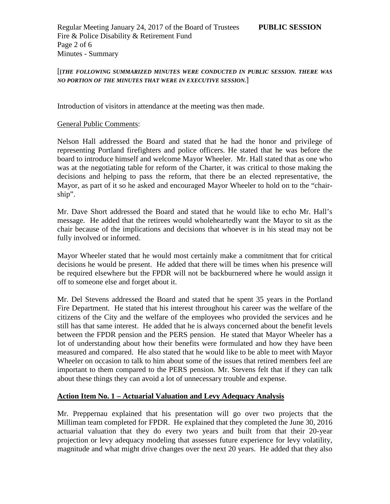Regular Meeting January 24, 2017 of the Board of Trustees **PUBLIC SESSION** Fire & Police Disability & Retirement Fund Page 2 of 6 Minutes - Summary

### [**[***THE FOLLOWING SUMMARIZED MINUTES WERE CONDUCTED IN PUBLIC SESSION. THERE WAS NO PORTION OF THE MINUTES THAT WERE IN EXECUTIVE SESSION.*]

Introduction of visitors in attendance at the meeting was then made.

#### General Public Comments:

Nelson Hall addressed the Board and stated that he had the honor and privilege of representing Portland firefighters and police officers. He stated that he was before the board to introduce himself and welcome Mayor Wheeler. Mr. Hall stated that as one who was at the negotiating table for reform of the Charter, it was critical to those making the decisions and helping to pass the reform, that there be an elected representative, the Mayor, as part of it so he asked and encouraged Mayor Wheeler to hold on to the "chairship".

Mr. Dave Short addressed the Board and stated that he would like to echo Mr. Hall's message. He added that the retirees would wholeheartedly want the Mayor to sit as the chair because of the implications and decisions that whoever is in his stead may not be fully involved or informed.

Mayor Wheeler stated that he would most certainly make a commitment that for critical decisions he would be present. He added that there will be times when his presence will be required elsewhere but the FPDR will not be backburnered where he would assign it off to someone else and forget about it.

Mr. Del Stevens addressed the Board and stated that he spent 35 years in the Portland Fire Department. He stated that his interest throughout his career was the welfare of the citizens of the City and the welfare of the employees who provided the services and he still has that same interest. He added that he is always concerned about the benefit levels between the FPDR pension and the PERS pension. He stated that Mayor Wheeler has a lot of understanding about how their benefits were formulated and how they have been measured and compared. He also stated that he would like to be able to meet with Mayor Wheeler on occasion to talk to him about some of the issues that retired members feel are important to them compared to the PERS pension. Mr. Stevens felt that if they can talk about these things they can avoid a lot of unnecessary trouble and expense.

#### **Action Item No. 1 – Actuarial Valuation and Levy Adequacy Analysis**

Mr. Preppernau explained that his presentation will go over two projects that the Milliman team completed for FPDR. He explained that they completed the June 30, 2016 actuarial valuation that they do every two years and built from that their 20-year projection or levy adequacy modeling that assesses future experience for levy volatility, magnitude and what might drive changes over the next 20 years. He added that they also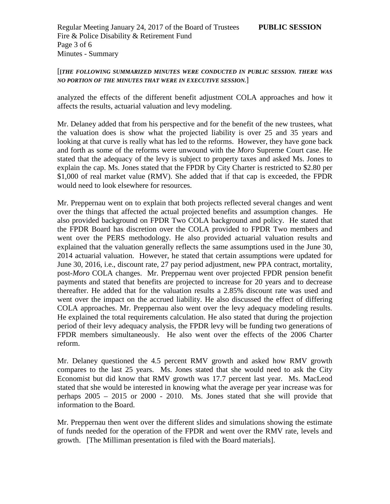Regular Meeting January 24, 2017 of the Board of Trustees **PUBLIC SESSION** Fire & Police Disability & Retirement Fund Page 3 of 6 Minutes - Summary

### [**[***THE FOLLOWING SUMMARIZED MINUTES WERE CONDUCTED IN PUBLIC SESSION. THERE WAS NO PORTION OF THE MINUTES THAT WERE IN EXECUTIVE SESSION.*]

analyzed the effects of the different benefit adjustment COLA approaches and how it affects the results, actuarial valuation and levy modeling.

Mr. Delaney added that from his perspective and for the benefit of the new trustees, what the valuation does is show what the projected liability is over 25 and 35 years and looking at that curve is really what has led to the reforms. However, they have gone back and forth as some of the reforms were unwound with the *Moro* Supreme Court case. He stated that the adequacy of the levy is subject to property taxes and asked Ms. Jones to explain the cap. Ms. Jones stated that the FPDR by City Charter is restricted to \$2.80 per \$1,000 of real market value (RMV). She added that if that cap is exceeded, the FPDR would need to look elsewhere for resources.

Mr. Preppernau went on to explain that both projects reflected several changes and went over the things that affected the actual projected benefits and assumption changes. He also provided background on FPDR Two COLA background and policy. He stated that the FPDR Board has discretion over the COLA provided to FPDR Two members and went over the PERS methodology. He also provided actuarial valuation results and explained that the valuation generally reflects the same assumptions used in the June 30, 2014 actuarial valuation. However, he stated that certain assumptions were updated for June 30, 2016, i.e., discount rate, 27 pay period adjustment, new PPA contract, mortality, post-*Moro* COLA changes. Mr. Preppernau went over projected FPDR pension benefit payments and stated that benefits are projected to increase for 20 years and to decrease thereafter. He added that for the valuation results a 2.85% discount rate was used and went over the impact on the accrued liability. He also discussed the effect of differing COLA approaches. Mr. Preppernau also went over the levy adequacy modeling results. He explained the total requirements calculation. He also stated that during the projection period of their levy adequacy analysis, the FPDR levy will be funding two generations of FPDR members simultaneously. He also went over the effects of the 2006 Charter reform.

Mr. Delaney questioned the 4.5 percent RMV growth and asked how RMV growth compares to the last 25 years. Ms. Jones stated that she would need to ask the City Economist but did know that RMV growth was 17.7 percent last year. Ms. MacLeod stated that she would be interested in knowing what the average per year increase was for perhaps 2005 – 2015 or 2000 - 2010. Ms. Jones stated that she will provide that information to the Board.

Mr. Preppernau then went over the different slides and simulations showing the estimate of funds needed for the operation of the FPDR and went over the RMV rate, levels and growth. [The Milliman presentation is filed with the Board materials].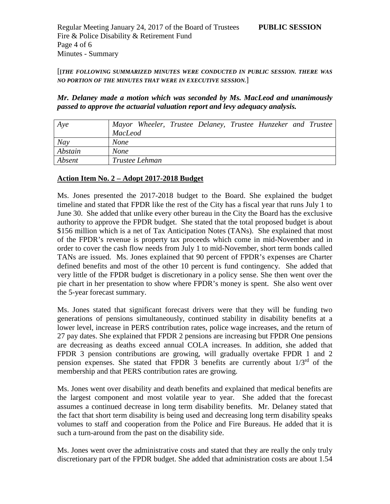[**[***THE FOLLOWING SUMMARIZED MINUTES WERE CONDUCTED IN PUBLIC SESSION. THERE WAS NO PORTION OF THE MINUTES THAT WERE IN EXECUTIVE SESSION.*]

*Mr. Delaney made a motion which was seconded by Ms. MacLeod and unanimously passed to approve the actuarial valuation report and levy adequacy analysis.*

| Aye     |                |                |  | Mayor Wheeler, Trustee Delaney, Trustee Hunzeker and Trustee |  |
|---------|----------------|----------------|--|--------------------------------------------------------------|--|
|         | <b>MacLeod</b> |                |  |                                                              |  |
| Nay     | <b>None</b>    |                |  |                                                              |  |
| Abstain | <b>None</b>    |                |  |                                                              |  |
| Absent  |                | Trustee Lehman |  |                                                              |  |

# **Action Item No. 2 – Adopt 2017-2018 Budget**

Ms. Jones presented the 2017-2018 budget to the Board. She explained the budget timeline and stated that FPDR like the rest of the City has a fiscal year that runs July 1 to June 30. She added that unlike every other bureau in the City the Board has the exclusive authority to approve the FPDR budget. She stated that the total proposed budget is about \$156 million which is a net of Tax Anticipation Notes (TANs). She explained that most of the FPDR's revenue is property tax proceeds which come in mid-November and in order to cover the cash flow needs from July 1 to mid-November, short term bonds called TANs are issued. Ms. Jones explained that 90 percent of FPDR's expenses are Charter defined benefits and most of the other 10 percent is fund contingency. She added that very little of the FPDR budget is discretionary in a policy sense. She then went over the pie chart in her presentation to show where FPDR's money is spent. She also went over the 5-year forecast summary.

Ms. Jones stated that significant forecast drivers were that they will be funding two generations of pensions simultaneously, continued stability in disability benefits at a lower level, increase in PERS contribution rates, police wage increases, and the return of 27 pay dates. She explained that FPDR 2 pensions are increasing but FPDR One pensions are decreasing as deaths exceed annual COLA increases. In addition, she added that FPDR 3 pension contributions are growing, will gradually overtake FPDR 1 and 2 pension expenses. She stated that FPDR 3 benefits are currently about  $1/3^{rd}$  of the membership and that PERS contribution rates are growing.

Ms. Jones went over disability and death benefits and explained that medical benefits are the largest component and most volatile year to year. She added that the forecast assumes a continued decrease in long term disability benefits. Mr. Delaney stated that the fact that short term disability is being used and decreasing long term disability speaks volumes to staff and cooperation from the Police and Fire Bureaus. He added that it is such a turn-around from the past on the disability side.

Ms. Jones went over the administrative costs and stated that they are really the only truly discretionary part of the FPDR budget. She added that administration costs are about 1.54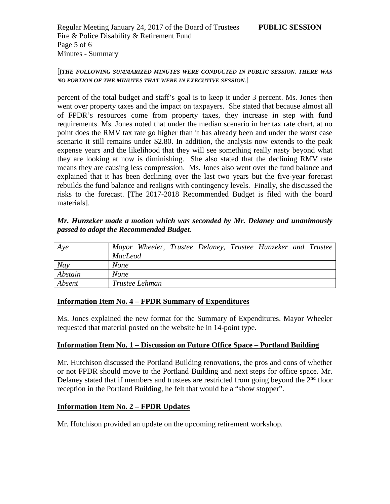Regular Meeting January 24, 2017 of the Board of Trustees **PUBLIC SESSION** Fire & Police Disability & Retirement Fund Page 5 of 6 Minutes - Summary

### [**[***THE FOLLOWING SUMMARIZED MINUTES WERE CONDUCTED IN PUBLIC SESSION. THERE WAS NO PORTION OF THE MINUTES THAT WERE IN EXECUTIVE SESSION.*]

percent of the total budget and staff's goal is to keep it under 3 percent. Ms. Jones then went over property taxes and the impact on taxpayers. She stated that because almost all of FPDR's resources come from property taxes, they increase in step with fund requirements. Ms. Jones noted that under the median scenario in her tax rate chart, at no point does the RMV tax rate go higher than it has already been and under the worst case scenario it still remains under \$2.80. In addition, the analysis now extends to the peak expense years and the likelihood that they will see something really nasty beyond what they are looking at now is diminishing. She also stated that the declining RMV rate means they are causing less compression. Ms. Jones also went over the fund balance and explained that it has been declining over the last two years but the five-year forecast rebuilds the fund balance and realigns with contingency levels. Finally, she discussed the risks to the forecast. [The 2017-2018 Recommended Budget is filed with the board materials].

### *Mr. Hunzeker made a motion which was seconded by Mr. Delaney and unanimously passed to adopt the Recommended Budget.*

| Aye     | Mayor Wheeler, Trustee Delaney, Trustee Hunzeker and Trustee |
|---------|--------------------------------------------------------------|
|         | <b>MacLeod</b>                                               |
| Nay     | <b>None</b>                                                  |
| Abstain | <b>None</b>                                                  |
| Absent  | Trustee Lehman                                               |

# **Information Item No. 4 – FPDR Summary of Expenditures**

Ms. Jones explained the new format for the Summary of Expenditures. Mayor Wheeler requested that material posted on the website be in 14-point type.

# **Information Item No. 1 – Discussion on Future Office Space – Portland Building**

Mr. Hutchison discussed the Portland Building renovations, the pros and cons of whether or not FPDR should move to the Portland Building and next steps for office space. Mr. Delaney stated that if members and trustees are restricted from going beyond the  $2<sup>nd</sup>$  floor reception in the Portland Building, he felt that would be a "show stopper".

#### **Information Item No. 2 – FPDR Updates**

Mr. Hutchison provided an update on the upcoming retirement workshop.